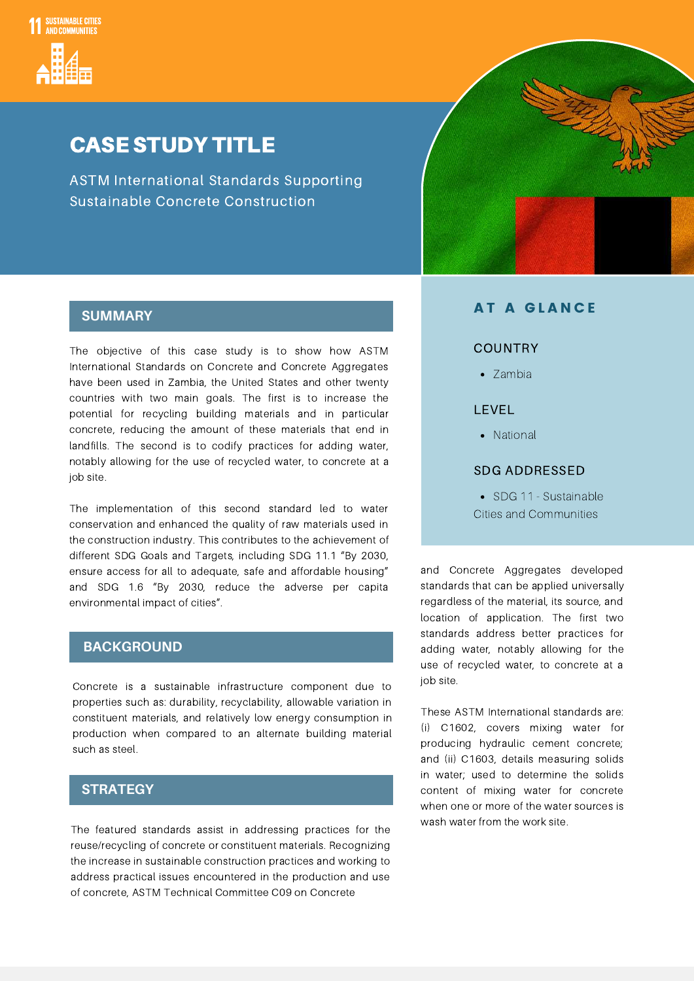

### CASE STUDY TITLE

ASTM International Standards Supporting Sustainable Concrete Construction



#### **SUMMARY**

The objective of this case study is to show how ASTM International Standards on Concrete and Concrete Aggregates have been used in Zambia, the United States and other twenty countries with two main goals. The first is to increase the potential for recycling building materials and in particular concrete, reducing the amount of these materials that end in landfills. The second is to codify practices for adding water, notably allowing for the use of recycled water, to concrete at a job site.

The implementation of this second standard led to water conservation and enhanced the quality of raw materials used in the construction industry. This contributes to the achievement of different SDG Goals and Targets, including SDG 11.1 "By 2030, ensure access for all to adequate, safe and affordable housing" and SDG 1.6 "By 2030, reduce the adverse per capita environmental impact of cities".

#### **BACKGROUND**

Concrete is a sustainable infrastructure component due to properties such as: durability, recyclability, allowable variation in constituent materials, and relatively low energy consumption in production when compared to an alternate building material such as steel.

#### **STRATEGY**

The featured standards assist in addressing practices for the reuse/recycling of concrete or constituent materials. Recognizing the increase in sustainable construction practices and working to address practical issues encountered in the production and use of concrete, ASTM Technical Committee C09 on Concrete

#### AT A GLANCE

#### **COUNTRY**

• Zambia

#### LEVEL

• National

#### SDG ADDRESSED

• SDG 11 - Sustainable Cities and Communities

and Concrete Aggregates developed standards that can be applied universally regardless of the material, its source, and location of application. The first two standards address better practices for adding water, notably allowing for the use of recycled water, to concrete at a job site.

These ASTM International standards are: (i) C1602, covers mixing water for producing hydraulic cement concrete; and (ii) C1603, details measuring solids in water; used to determine the solids content of mixing water for concrete when one or more of the water sources is wash water from the work site.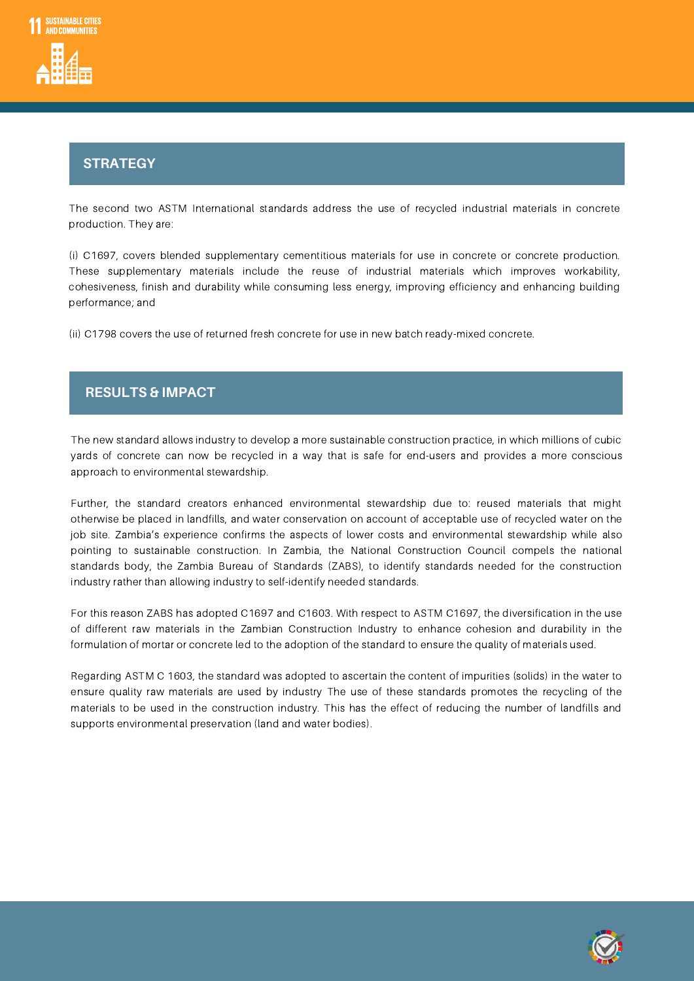

### S**ST**t **R**r **AT**a**EG**t **<sup>Y</sup>**egy

The second two ASTM International standards address the use of recycled industrial materials in concrete production. They are:

(i) C1697, covers blended supplementary cementitious materials for use in concrete or concrete production. These supplementary materials include the reuse of industrial materials which improves workability, cohesiveness, finish and durability while consuming less energy, improving efficiency and enhancing building performance; and

(ii) C1798 covers the use of returned fresh concrete for use in new batch ready-mixed concrete.

# $R$ **ESULTS & IMPACT**

The new standard allows industry to develop a more sustainable construction practice, in which millions of cubic yards of concrete can now be recycled in a way that is safe for end-users and provides a more conscious approach to environmental stewardship.

Further, the standard creators enhanced environmental stewardship due to: reused materials that might otherwise be placed in landfills, and water conservation on account of acceptable use of recycled water on the job site. Zambia's experience confirms the aspects of lower costs and environmental stewardship while also pointing to sustainable construction. In Zambia, the National Construction Council compels the national standards body, the Zambia Bureau of Standards (ZABS), to identify standards needed for the construction industry rather than allowing industry to self-identify needed standards.

For this reason ZABS has adopted C1697 and C1603. With respect to ASTM C1697, the diversification in the use of different raw materials in the Zambian Construction Industry to enhance cohesion and durability in the formulation of mortar or concrete led to the adoption of the standard to ensure the quality of materials used.

Regarding ASTM C 1603, the standard was adopted to ascertain the content of impurities (solids) in the water to ensure quality raw materials are used by industry The use of these standards promotes the recycling of the materials to be used in the construction industry. This has the effect of reducing the number of landfills and supports environmental preservation (land and water bodies).